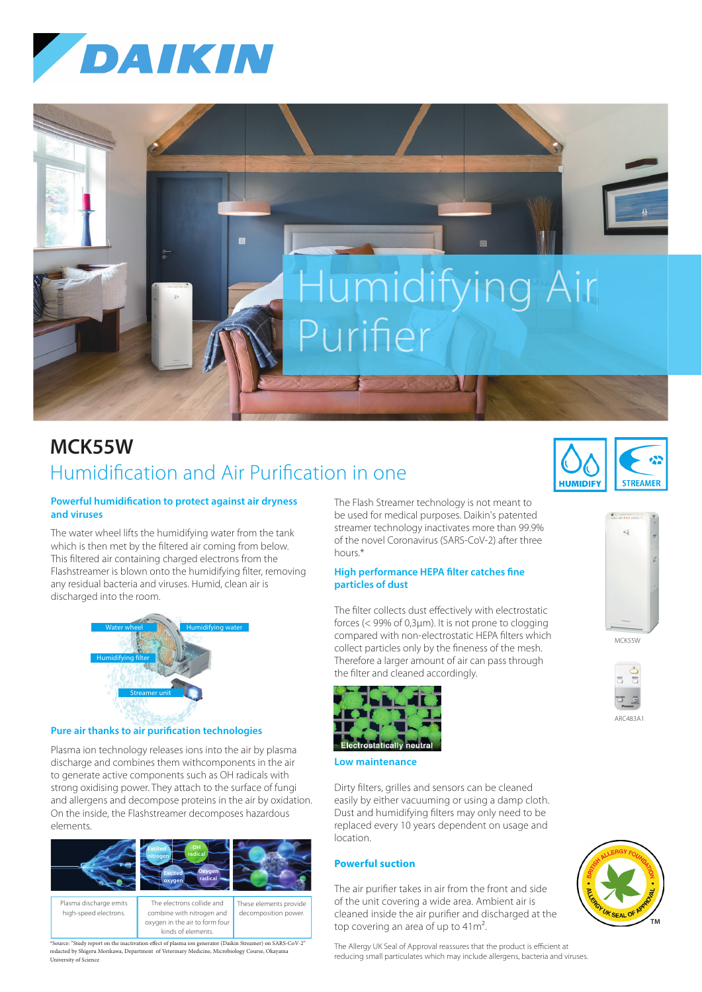



# **MCK55W** Humidification and Air Purification in one

## **Powerful humidification to protect against air dryness and viruses**

The water wheel lifts the humidifying water from the tank which is then met by the filtered air coming from below. This filtered air containing charged electrons from the Flashstreamer is blown onto the humidifying filter, removing any residual bacteria and viruses. Humid, clean air is discharged into the room.



#### **Pure air thanks to air purification technologies**

Plasma ion technology releases ions into the air by plasma discharge and combines them withcomponents in the air to generate active components such as OH radicals with strong oxidising power. They attach to the surface of fungi and allergens and decompose proteins in the air by oxidation. On the inside, the Flashstreamer decomposes hazardous elements.



oxygen in the air to form four kinds of elements.

\*Source: "Study report on the inactivation effect of plasma ion generator (Daikin Streamer) on SARS-CoV-2"<br>redacted by Shigeru Morikawa, Department of Veterinary Medicine, Microbiology Course, Okayama University of Science

The Flash Streamer technology is not meant to be used for medical purposes. Daikin's patented streamer technology inactivates more than 99.9% of the novel Coronavirus (SARS-CoV-2) after three hours\*

### **High performance HEPA filter catches fine particles of dust**

The filter collects dust effectively with electrostatic forces (< 99% of 0,3μm). It is not prone to clogging compared with non-electrostatic HEPA filters which collect particles only by the fineness of the mesh. Therefore a larger amount of air can pass through the filter and cleaned accordingly.



**Low maintenance**

Dirty filters, grilles and sensors can be cleaned easily by either vacuuming or using a damp cloth. Dust and humidifying filters may only need to be replaced every 10 years dependent on usage and location.

# **Powerful suction**

The air purifier takes in air from the front and side of the unit covering a wide area. Ambient air is cleaned inside the air purifier and discharged at the top covering an area of up to  $41m^2$ .

The Allergy UK Seal of Approval reassures that the product is efficient at reducing small particulates which may include allergens, bacteria and viruses.





| ARC483A |
|---------|
|         |